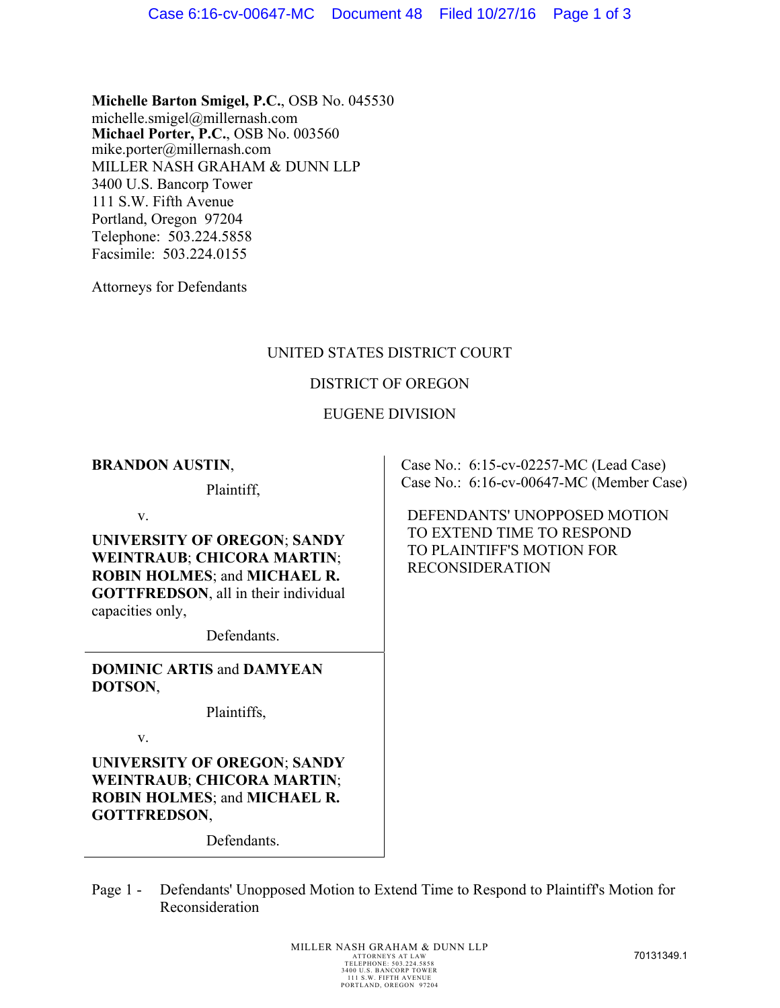**Michelle Barton Smigel, P.C.**, OSB No. 045530 michelle.smigel@millernash.com **Michael Porter, P.C.**, OSB No. 003560 mike.porter@millernash.com MILLER NASH GRAHAM & DUNN LLP 3400 U.S. Bancorp Tower 111 S.W. Fifth Avenue Portland, Oregon 97204 Telephone: 503.224.5858 Facsimile: 503.224.0155

Attorneys for Defendants

# UNITED STATES DISTRICT COURT

#### DISTRICT OF OREGON

## EUGENE DIVISION

#### **BRANDON AUSTIN**,

Plaintiff,

v.

**UNIVERSITY OF OREGON**; **SANDY WEINTRAUB**; **CHICORA MARTIN**; **ROBIN HOLMES**; and **MICHAEL R. GOTTFREDSON**, all in their individual capacities only,

Defendants.

**DOMINIC ARTIS** and **DAMYEAN DOTSON**,

Plaintiffs,

v.

**UNIVERSITY OF OREGON**; **SANDY WEINTRAUB**; **CHICORA MARTIN**; **ROBIN HOLMES**; and **MICHAEL R. GOTTFREDSON**,

Defendants.

Case No.: 6:15-cv-02257-MC (Lead Case) Case No.: 6:16-cv-00647-MC (Member Case)

DEFENDANTS' UNOPPOSED MOTION TO EXTEND TIME TO RESPOND TO PLAINTIFF'S MOTION FOR RECONSIDERATION

Page 1 - Defendants' Unopposed Motion to Extend Time to Respond to Plaintiff's Motion for Reconsideration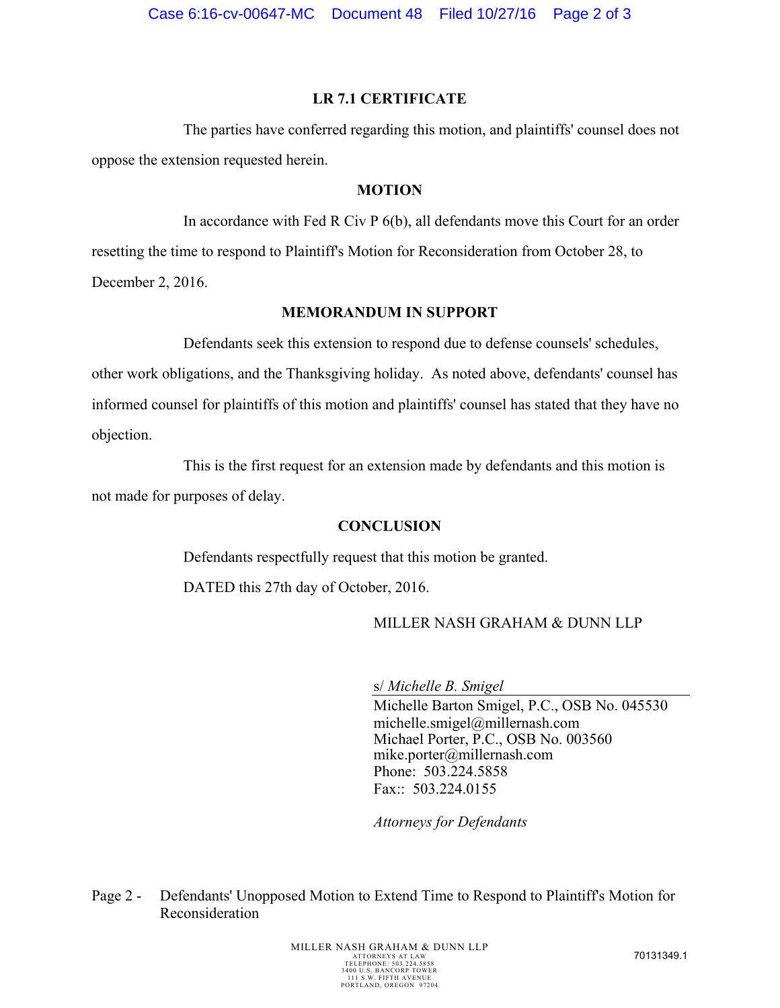#### **LR 7.1 CERTIFICATE**

The parties have conferred regarding this motion, and plaintiffs' counsel does not oppose the extension requested herein.

## **MOTION**

In accordance with Fed R Civ P 6(b), all defendants move this Court for an order resetting the time to respond to Plaintiff's Motion for Reconsideration from October 28, to December 2, 2016.

## **MEMORANDUM IN SUPPORT**

Defendants seek this extension to respond due to defense counsels' schedules, other work obligations, and the Thanksgiving holiday. As noted above, defendants' counsel has informed counsel for plaintiffs of this motion and plaintiffs' counsel has stated that they have no objection.

This is the first request for an extension made by defendants and this motion is not made for purposes of delay.

# **CONCLUSION**

Defendants respectfully request that this motion be granted.

DATED this 27th day of October, 2016.

# MILLER NASH GRAHAM & DUNN LLP

s/ *Michelle B. Smigel* 

Michelle Barton Smigel, P.C., OSB No. 045530 michelle.smigel@millernash.com Michael Porter, P.C., OSB No. 003560 mike.porter@millernash.com Phone: 503.224.5858 Fax:: 503.224.0155

*Attorneys for Defendants* 

Page 2 - Defendants' Unopposed Motion to Extend Time to Respond to Plaintiff's Motion for Reconsideration